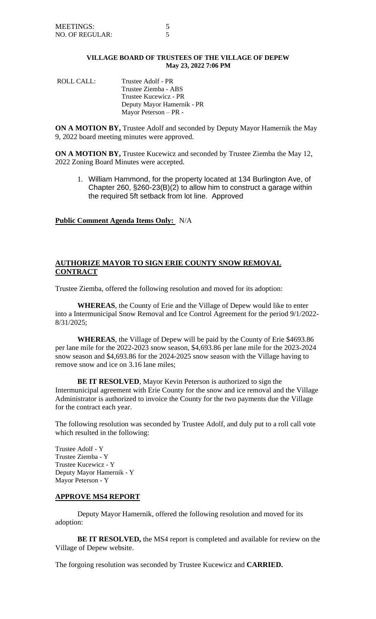# **VILLAGE BOARD OF TRUSTEES OF THE VILLAGE OF DEPEW May 23, 2022 7:06 PM**

ROLL CALL: Trustee Adolf - PR Trustee Ziemba - ABS Trustee Kucewicz - PR Deputy Mayor Hamernik - PR Mayor Peterson – PR -

**ON A MOTION BY,** Trustee Adolf and seconded by Deputy Mayor Hamernik the May 9, 2022 board meeting minutes were approved.

**ON A MOTION BY,** Trustee Kucewicz and seconded by Trustee Ziemba the May 12, 2022 Zoning Board Minutes were accepted.

1. William Hammond, for the property located at 134 Burlington Ave, of Chapter 260, §260-23(B)(2) to allow him to construct a garage within the required 5ft setback from lot line. Approved

**Public Comment Agenda Items Only:** N/A

# **AUTHORIZE MAYOR TO SIGN ERIE COUNTY SNOW REMOVAL CONTRACT**

Trustee Ziemba, offered the following resolution and moved for its adoption:

**WHEREAS**, the County of Erie and the Village of Depew would like to enter into a Intermunicipal Snow Removal and Ice Control Agreement for the period 9/1/2022- 8/31/2025;

**WHEREAS**, the Village of Depew will be paid by the County of Erie \$4693.86 per lane mile for the 2022-2023 snow season, \$4,693.86 per lane mile for the 2023-2024 snow season and \$4,693.86 for the 2024-2025 snow season with the Village having to remove snow and ice on 3.16 lane miles;

**BE IT RESOLVED**, Mayor Kevin Peterson is authorized to sign the Intermunicipal agreement with Erie County for the snow and ice removal and the Village Administrator is authorized to invoice the County for the two payments due the Village for the contract each year.

The following resolution was seconded by Trustee Adolf, and duly put to a roll call vote which resulted in the following:

Trustee Adolf - Y Trustee Ziemba - Y Trustee Kucewicz - Y Deputy Mayor Hamernik - Y Mayor Peterson - Y

# **APPROVE MS4 REPORT**

Deputy Mayor Hamernik, offered the following resolution and moved for its adoption:

**BE IT RESOLVED,** the MS4 report is completed and available for review on the Village of Depew website.

The forgoing resolution was seconded by Trustee Kucewicz and **CARRIED.**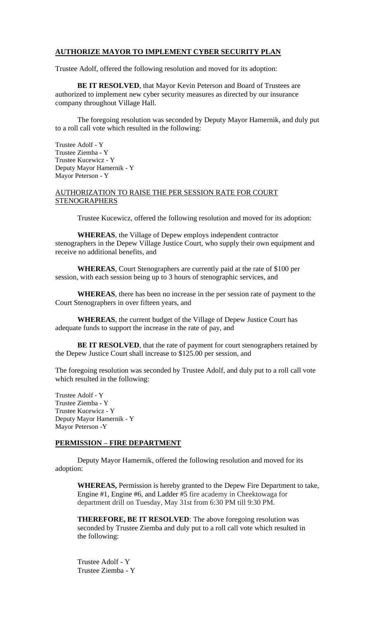# **AUTHORIZE MAYOR TO IMPLEMENT CYBER SECURITY PLAN**

Trustee Adolf, offered the following resolution and moved for its adoption:

**BE IT RESOLVED**, that Mayor Kevin Peterson and Board of Trustees are authorized to implement new cyber security measures as directed by our insurance company throughout Village Hall.

The foregoing resolution was seconded by Deputy Mayor Hamernik, and duly put to a roll call vote which resulted in the following:

Trustee Adolf - Y Trustee Ziemba - Y Trustee Kucewicz - Y Deputy Mayor Hamernik - Y Mayor Peterson - Y

# AUTHORIZATION TO RAISE THE PER SESSION RATE FOR COURT **STENOGRAPHERS**

Trustee Kucewicz, offered the following resolution and moved for its adoption:

**WHEREAS**, the Village of Depew employs independent contractor stenographers in the Depew Village Justice Court, who supply their own equipment and receive no additional benefits, and

**WHEREAS**, Court Stenographers are currently paid at the rate of \$100 per session, with each session being up to 3 hours of stenographic services, and

**WHEREAS**, there has been no increase in the per session rate of payment to the Court Stenographers in over fifteen years, and

**WHEREAS**, the current budget of the Village of Depew Justice Court has adequate funds to support the increase in the rate of pay, and

**BE IT RESOLVED**, that the rate of payment for court stenographers retained by the Depew Justice Court shall increase to \$125.00 per session, and

The foregoing resolution was seconded by Trustee Adolf, and duly put to a roll call vote which resulted in the following:

Trustee Adolf - Y Trustee Ziemba - Y Trustee Kucewicz - Y Deputy Mayor Hamernik - Y Mayor Peterson -Y

### **PERMISSION – FIRE DEPARTMENT**

Deputy Mayor Hamernik, offered the following resolution and moved for its adoption:

**WHEREAS,** Permission is hereby granted to the Depew Fire Department to take, Engine #1, Engine #6, and Ladder #5 fire academy in Cheektowaga for department drill on Tuesday, May 31st from 6:30 PM till 9:30 PM.

**THEREFORE, BE IT RESOLVED**: The above foregoing resolution was seconded by Trustee Ziemba and duly put to a roll call vote which resulted in the following:

Trustee Adolf - Y Trustee Ziemba - Y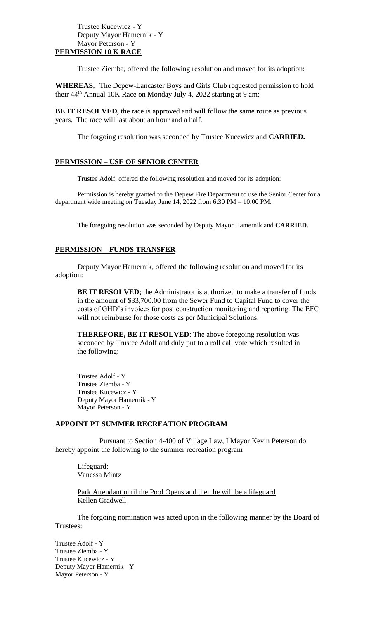#### Trustee Kucewicz - Y Deputy Mayor Hamernik - Y Mayor Peterson - Y **PERMISSION 10 K RACE**

Trustee Ziemba, offered the following resolution and moved for its adoption:

**WHEREAS**, The Depew-Lancaster Boys and Girls Club requested permission to hold their 44<sup>th</sup> Annual 10K Race on Monday July 4, 2022 starting at 9 am;

**BE IT RESOLVED,** the race is approved and will follow the same route as previous years. The race will last about an hour and a half.

The forgoing resolution was seconded by Trustee Kucewicz and **CARRIED.**

### **PERMISSION – USE OF SENIOR CENTER**

Trustee Adolf, offered the following resolution and moved for its adoption:

Permission is hereby granted to the Depew Fire Department to use the Senior Center for a department wide meeting on Tuesday June 14, 2022 from 6:30 PM – 10:00 PM.

The foregoing resolution was seconded by Deputy Mayor Hamernik and **CARRIED.**

### **PERMISSION – FUNDS TRANSFER**

Deputy Mayor Hamernik, offered the following resolution and moved for its adoption:

**BE IT RESOLVED**; the Administrator is authorized to make a transfer of funds in the amount of \$33,700.00 from the Sewer Fund to Capital Fund to cover the costs of GHD's invoices for post construction monitoring and reporting. The EFC will not reimburse for those costs as per Municipal Solutions.

**THEREFORE, BE IT RESOLVED**: The above foregoing resolution was seconded by Trustee Adolf and duly put to a roll call vote which resulted in the following:

Trustee Adolf - Y Trustee Ziemba - Y Trustee Kucewicz - Y Deputy Mayor Hamernik - Y Mayor Peterson - Y

### **APPOINT PT SUMMER RECREATION PROGRAM**

Pursuant to Section 4-400 of Village Law, I Mayor Kevin Peterson do hereby appoint the following to the summer recreation program

Lifeguard: Vanessa Mintz

Park Attendant until the Pool Opens and then he will be a lifeguard Kellen Gradwell

The forgoing nomination was acted upon in the following manner by the Board of Trustees:

Trustee Adolf - Y Trustee Ziemba - Y Trustee Kucewicz - Y Deputy Mayor Hamernik - Y Mayor Peterson - Y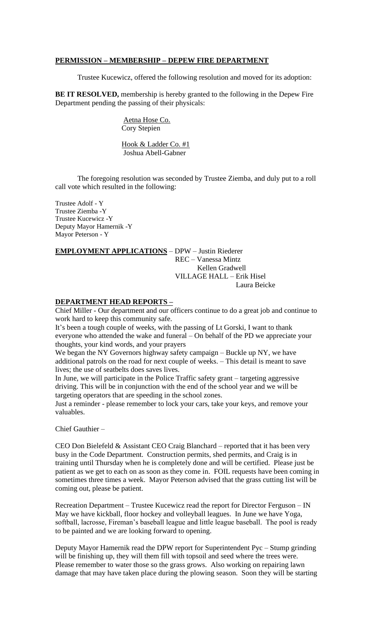#### **PERMISSION – MEMBERSHIP – DEPEW FIRE DEPARTMENT**

Trustee Kucewicz, offered the following resolution and moved for its adoption:

**BE IT RESOLVED,** membership is hereby granted to the following in the Depew Fire Department pending the passing of their physicals:

> Aetna Hose Co. Cory Stepien

Hook & Ladder Co. #1 Joshua Abell-Gabner

The foregoing resolution was seconded by Trustee Ziemba, and duly put to a roll call vote which resulted in the following:

Trustee Adolf - Y Trustee Ziemba -Y Trustee Kucewicz -Y Deputy Mayor Hamernik -Y Mayor Peterson - Y

# **EMPLOYMENT APPLICATIONS** – DPW – Justin Riederer REC – Vanessa Mintz Kellen Gradwell VILLAGE HALL – Erik Hisel Laura Beicke

# **DEPARTMENT HEAD REPORTS –**

Chief Miller - Our department and our officers continue to do a great job and continue to work hard to keep this community safe.

It's been a tough couple of weeks, with the passing of Lt Gorski, I want to thank everyone who attended the wake and funeral – On behalf of the PD we appreciate your thoughts, your kind words, and your prayers

We began the NY Governors highway safety campaign – Buckle up NY, we have additional patrols on the road for next couple of weeks. – This detail is meant to save lives; the use of seatbelts does saves lives.

In June, we will participate in the Police Traffic safety grant – targeting aggressive driving. This will be in conjunction with the end of the school year and we will be targeting operators that are speeding in the school zones.

Just a reminder - please remember to lock your cars, take your keys, and remove your valuables.

Chief Gauthier –

CEO Don Bielefeld & Assistant CEO Craig Blanchard – reported that it has been very busy in the Code Department. Construction permits, shed permits, and Craig is in training until Thursday when he is completely done and will be certified. Please just be patient as we get to each on as soon as they come in. FOIL requests have been coming in sometimes three times a week. Mayor Peterson advised that the grass cutting list will be coming out, please be patient.

Recreation Department – Trustee Kucewicz read the report for Director Ferguson – IN May we have kickball, floor hockey and volleyball leagues. In June we have Yoga, softball, lacrosse, Fireman's baseball league and little league baseball. The pool is ready to be painted and we are looking forward to opening.

Deputy Mayor Hamernik read the DPW report for Superintendent Pyc – Stump grinding will be finishing up, they will them fill with topsoil and seed where the trees were. Please remember to water those so the grass grows. Also working on repairing lawn damage that may have taken place during the plowing season. Soon they will be starting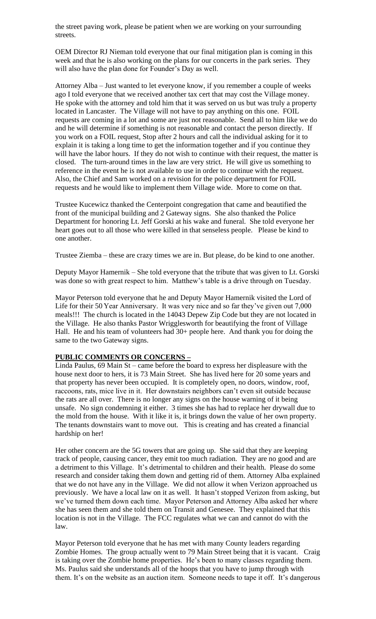the street paving work, please be patient when we are working on your surrounding streets.

OEM Director RJ Nieman told everyone that our final mitigation plan is coming in this week and that he is also working on the plans for our concerts in the park series. They will also have the plan done for Founder's Day as well.

Attorney Alba – Just wanted to let everyone know, if you remember a couple of weeks ago I told everyone that we received another tax cert that may cost the Village money. He spoke with the attorney and told him that it was served on us but was truly a property located in Lancaster. The Village will not have to pay anything on this one. FOIL requests are coming in a lot and some are just not reasonable. Send all to him like we do and he will determine if something is not reasonable and contact the person directly. If you work on a FOIL request, Stop after 2 hours and call the individual asking for it to explain it is taking a long time to get the information together and if you continue they will have the labor hours. If they do not wish to continue with their request, the matter is closed. The turn-around times in the law are very strict. He will give us something to reference in the event he is not available to use in order to continue with the request. Also, the Chief and Sam worked on a revision for the police department for FOIL requests and he would like to implement them Village wide. More to come on that.

Trustee Kucewicz thanked the Centerpoint congregation that came and beautified the front of the municipal building and 2 Gateway signs. She also thanked the Police Department for honoring Lt. Jeff Gorski at his wake and funeral. She told everyone her heart goes out to all those who were killed in that senseless people. Please be kind to one another.

Trustee Ziemba – these are crazy times we are in. But please, do be kind to one another.

Deputy Mayor Hamernik – She told everyone that the tribute that was given to Lt. Gorski was done so with great respect to him. Matthew's table is a drive through on Tuesday.

Mayor Peterson told everyone that he and Deputy Mayor Hamernik visited the Lord of Life for their 50 Year Anniversary. It was very nice and so far they've given out 7,000 meals!!! The church is located in the 14043 Depew Zip Code but they are not located in the Village. He also thanks Pastor Wrigglesworth for beautifying the front of Village Hall. He and his team of volunteers had 30+ people here. And thank you for doing the same to the two Gateway signs.

#### **PUBLIC COMMENTS OR CONCERNS –**

Linda Paulus, 69 Main St – came before the board to express her displeasure with the house next door to hers, it is 73 Main Street. She has lived here for 20 some years and that property has never been occupied. It is completely open, no doors, window, roof, raccoons, rats, mice live in it. Her downstairs neighbors can't even sit outside because the rats are all over. There is no longer any signs on the house warning of it being unsafe. No sign condemning it either. 3 times she has had to replace her drywall due to the mold from the house. With it like it is, it brings down the value of her own property. The tenants downstairs want to move out. This is creating and has created a financial hardship on her!

Her other concern are the 5G towers that are going up. She said that they are keeping track of people, causing cancer, they emit too much radiation. They are no good and are a detriment to this Village. It's detrimental to children and their health. Please do some research and consider taking them down and getting rid of them. Attorney Alba explained that we do not have any in the Village. We did not allow it when Verizon approached us previously. We have a local law on it as well. It hasn't stopped Verizon from asking, but we've turned them down each time. Mayor Peterson and Attorney Alba asked her where she has seen them and she told them on Transit and Genesee. They explained that this location is not in the Village. The FCC regulates what we can and cannot do with the law.

Mayor Peterson told everyone that he has met with many County leaders regarding Zombie Homes. The group actually went to 79 Main Street being that it is vacant. Craig is taking over the Zombie home properties. He's been to many classes regarding them. Ms. Paulus said she understands all of the hoops that you have to jump through with them. It's on the website as an auction item. Someone needs to tape it off. It's dangerous